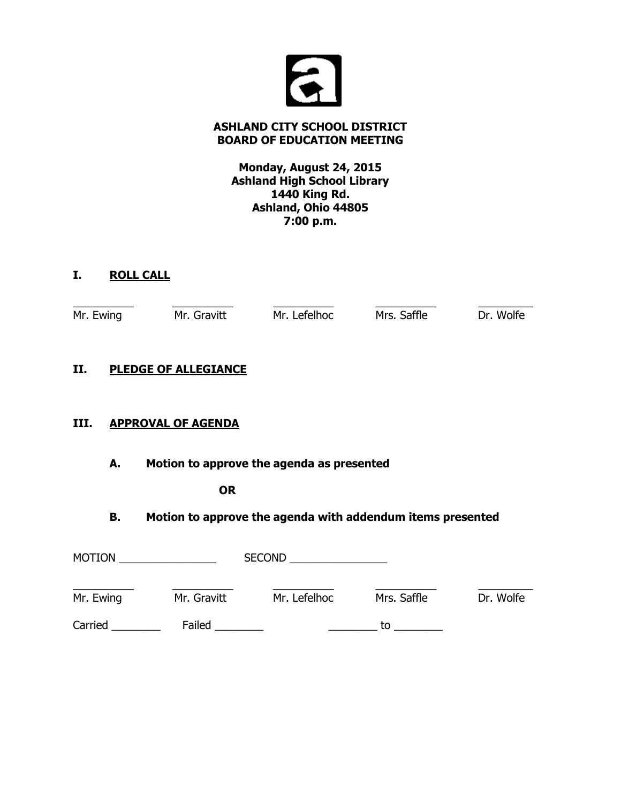

# **ASHLAND CITY SCHOOL DISTRICT BOARD OF EDUCATION MEETING**

**Monday, August 24, 2015 Ashland High School Library 1440 King Rd. Ashland, Ohio 44805 7:00 p.m.**

# **I. ROLL CALL**

| Mr. Ewing | Mr. Gravitt | Mr. Lefelhoc | Mrs. Saffle | Dr. Wolfe |
|-----------|-------------|--------------|-------------|-----------|
|           |             |              |             |           |

# **II. PLEDGE OF ALLEGIANCE**

# **III. APPROVAL OF AGENDA**

**A. Motion to approve the agenda as presented**

#### **OR**

# **B. Motion to approve the agenda with addendum items presented**

| <b>MOTION</b> |             | <b>SECOND</b> |             |           |
|---------------|-------------|---------------|-------------|-----------|
| Mr. Ewing     | Mr. Gravitt | Mr. Lefelhoc  | Mrs. Saffle | Dr. Wolfe |
| Carried       | Failed      |               | to          |           |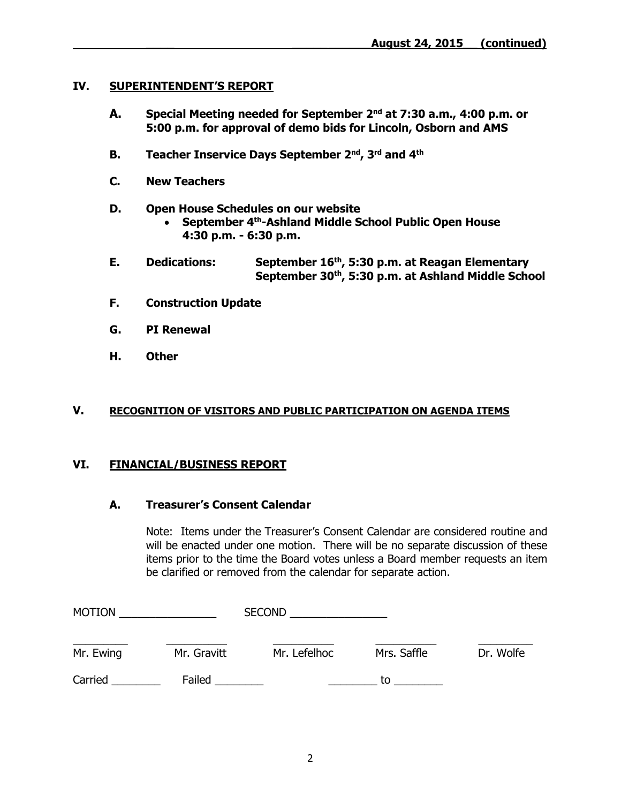# **IV. SUPERINTENDENT'S REPORT**

- **A. Special Meeting needed for September 2nd at 7:30 a.m., 4:00 p.m. or 5:00 p.m. for approval of demo bids for Lincoln, Osborn and AMS**
- **B. Teacher Inservice Days September 2nd, 3rd and 4th**
- **C. New Teachers**
- **D. Open House Schedules on our website**
	- **September 4th-Ashland Middle School Public Open House 4:30 p.m. - 6:30 p.m.**
- **E. Dedications: September 16th, 5:30 p.m. at Reagan Elementary September 30th, 5:30 p.m. at Ashland Middle School**
- **F. Construction Update**
- **G. PI Renewal**
- **H. Other**

#### **V. RECOGNITION OF VISITORS AND PUBLIC PARTICIPATION ON AGENDA ITEMS**

# **VI. FINANCIAL/BUSINESS REPORT**

#### **A. Treasurer's Consent Calendar**

Note: Items under the Treasurer's Consent Calendar are considered routine and will be enacted under one motion. There will be no separate discussion of these items prior to the time the Board votes unless a Board member requests an item be clarified or removed from the calendar for separate action.

| <b>MOTION</b> |             | <b>SECOND</b> |             |           |
|---------------|-------------|---------------|-------------|-----------|
| Mr. Ewing     | Mr. Gravitt | Mr. Lefelhoc  | Mrs. Saffle | Dr. Wolfe |
| Carried       | Failed      |               | to          |           |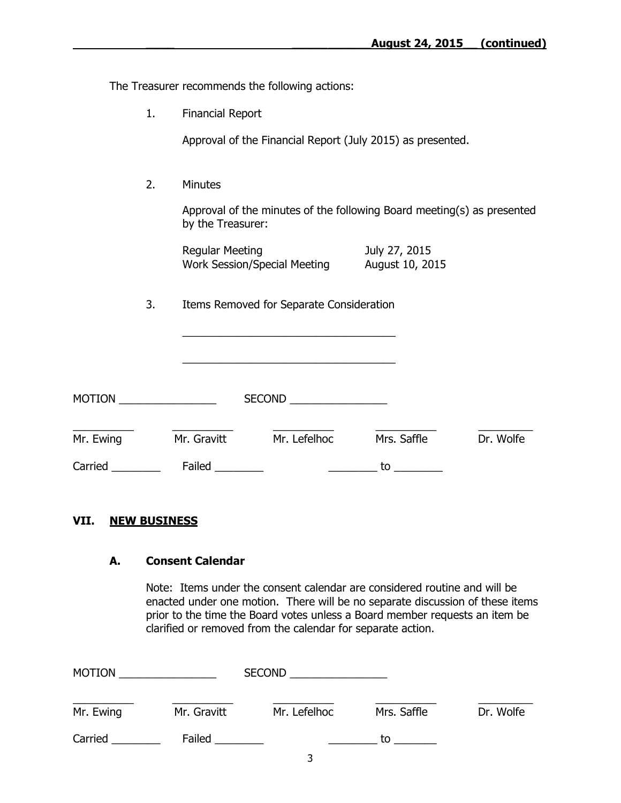The Treasurer recommends the following actions:

1. Financial Report

Approval of the Financial Report (July 2015) as presented.

2. Minutes

Approval of the minutes of the following Board meeting(s) as presented by the Treasurer:

| Regular Meeting                     | July 27, 2015   |
|-------------------------------------|-----------------|
| <b>Work Session/Special Meeting</b> | August 10, 2015 |

3. Items Removed for Separate Consideration

\_\_\_\_\_\_\_\_\_\_\_\_\_\_\_\_\_\_\_\_\_\_\_\_\_\_\_\_\_\_\_\_\_\_\_

\_\_\_\_\_\_\_\_\_\_\_\_\_\_\_\_\_\_\_\_\_\_\_\_\_\_\_\_\_\_\_\_\_\_\_

| <b>MOTION</b> |             | <b>SECOND</b> |             |           |
|---------------|-------------|---------------|-------------|-----------|
| Mr. Ewing     | Mr. Gravitt | Mr. Lefelhoc  | Mrs. Saffle | Dr. Wolfe |
| Carried       | Failed      |               | to          |           |

#### **VII. NEW BUSINESS**

#### **A. Consent Calendar**

Note: Items under the consent calendar are considered routine and will be enacted under one motion. There will be no separate discussion of these items prior to the time the Board votes unless a Board member requests an item be clarified or removed from the calendar for separate action.

| <b>MOTION</b> |             | <b>SECOND</b> |             |           |  |
|---------------|-------------|---------------|-------------|-----------|--|
| Mr. Ewing     | Mr. Gravitt | Mr. Lefelhoc  | Mrs. Saffle | Dr. Wolfe |  |
| Carried       | Failed      |               | tο          |           |  |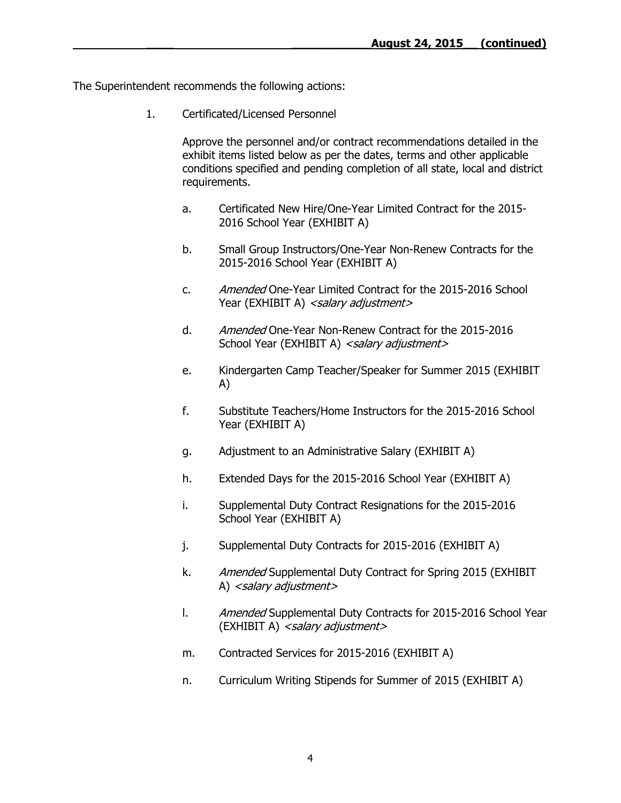The Superintendent recommends the following actions:

1. Certificated/Licensed Personnel

Approve the personnel and/or contract recommendations detailed in the exhibit items listed below as per the dates, terms and other applicable conditions specified and pending completion of all state, local and district requirements.

- a. Certificated New Hire/One-Year Limited Contract for the 2015- 2016 School Year (EXHIBIT A)
- b. Small Group Instructors/One-Year Non-Renew Contracts for the 2015-2016 School Year (EXHIBIT A)
- c. Amended One-Year Limited Contract for the 2015-2016 School Year (EXHIBIT A) <salary adjustment>
- d. Amended One-Year Non-Renew Contract for the 2015-2016 School Year (EXHIBIT A) <salary adjustment>
- e. Kindergarten Camp Teacher/Speaker for Summer 2015 (EXHIBIT A)
- f. Substitute Teachers/Home Instructors for the 2015-2016 School Year (EXHIBIT A)
- g. Adjustment to an Administrative Salary (EXHIBIT A)
- h. Extended Days for the 2015-2016 School Year (EXHIBIT A)
- i. Supplemental Duty Contract Resignations for the 2015-2016 School Year (EXHIBIT A)
- j. Supplemental Duty Contracts for 2015-2016 (EXHIBIT A)
- k. Amended Supplemental Duty Contract for Spring 2015 (EXHIBIT A) <salary adjustment>
- l. Amended Supplemental Duty Contracts for 2015-2016 School Year (EXHIBIT A) <salary adjustment>
- m. Contracted Services for 2015-2016 (EXHIBIT A)
- n. Curriculum Writing Stipends for Summer of 2015 (EXHIBIT A)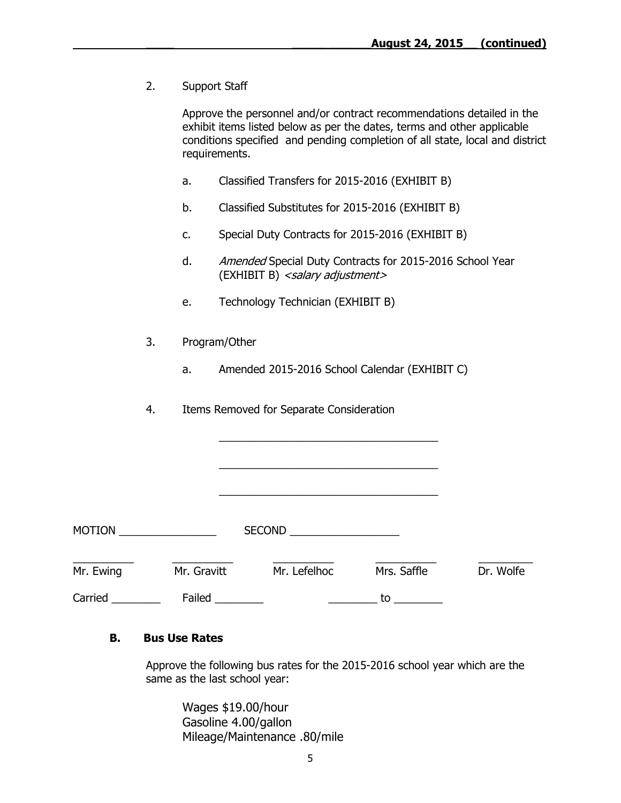2. Support Staff

Approve the personnel and/or contract recommendations detailed in the exhibit items listed below as per the dates, terms and other applicable conditions specified and pending completion of all state, local and district requirements.

- a. Classified Transfers for 2015-2016 (EXHIBIT B)
- b. Classified Substitutes for 2015-2016 (EXHIBIT B)
- c. Special Duty Contracts for 2015-2016 (EXHIBIT B)
- d. Amended Special Duty Contracts for 2015-2016 School Year (EXHIBIT B) <salary adjustment>
- e. Technology Technician (EXHIBIT B)
- 3. Program/Other
	- a. Amended 2015-2016 School Calendar (EXHIBIT C)

\_\_\_\_\_\_\_\_\_\_\_\_\_\_\_\_\_\_\_\_\_\_\_\_\_\_\_\_\_\_\_\_\_\_\_\_

\_\_\_\_\_\_\_\_\_\_\_\_\_\_\_\_\_\_\_\_\_\_\_\_\_\_\_\_\_\_\_\_\_\_\_\_

\_\_\_\_\_\_\_\_\_\_\_\_\_\_\_\_\_\_\_\_\_\_\_\_\_\_\_\_\_\_\_\_\_\_\_\_

4. Items Removed for Separate Consideration

| <b>MOTION</b> |             | <b>SECOND</b> |             |           |
|---------------|-------------|---------------|-------------|-----------|
| Mr. Ewing     | Mr. Gravitt | Mr. Lefelhoc  | Mrs. Saffle | Dr. Wolfe |
| Carried       | Failed      |               | tο          |           |

#### **B. Bus Use Rates**

Approve the following bus rates for the 2015-2016 school year which are the same as the last school year:

Wages \$19.00/hour Gasoline 4.00/gallon Mileage/Maintenance .80/mile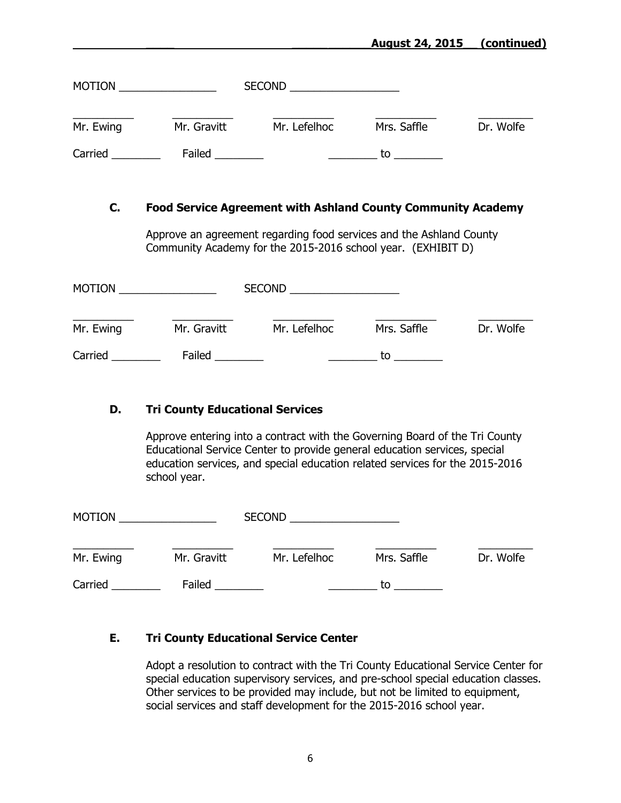### **\_\_\_\_ \_\_\_\_\_\_\_\_\_\_\_August 24, 2015\_\_ (continued)**

| <b>MOTION</b> |             | <b>SECOND</b> |             |           |
|---------------|-------------|---------------|-------------|-----------|
| Mr. Ewing     | Mr. Gravitt | Mr. Lefelhoc  | Mrs. Saffle | Dr. Wolfe |
| Carried       | Failed      |               | to          |           |

#### **C. Food Service Agreement with Ashland County Community Academy**

Approve an agreement regarding food services and the Ashland County Community Academy for the 2015-2016 school year. (EXHIBIT D)

| <b>MOTION</b> |             | <b>SECOND</b> |             |           |
|---------------|-------------|---------------|-------------|-----------|
| Mr. Ewing     | Mr. Gravitt | Mr. Lefelhoc  | Mrs. Saffle | Dr. Wolfe |
| Carried       | Failed      |               | tο          |           |

#### **D. Tri County Educational Services**

Approve entering into a contract with the Governing Board of the Tri County Educational Service Center to provide general education services, special education services, and special education related services for the 2015-2016 school year.

| <b>MOTION</b> |             | <b>SECOND</b> |             |           |
|---------------|-------------|---------------|-------------|-----------|
| Mr. Ewing     | Mr. Gravitt | Mr. Lefelhoc  | Mrs. Saffle | Dr. Wolfe |
| Carried       | Failed      |               | tο          |           |

# **E. Tri County Educational Service Center**

Adopt a resolution to contract with the Tri County Educational Service Center for special education supervisory services, and pre-school special education classes. Other services to be provided may include, but not be limited to equipment, social services and staff development for the 2015-2016 school year.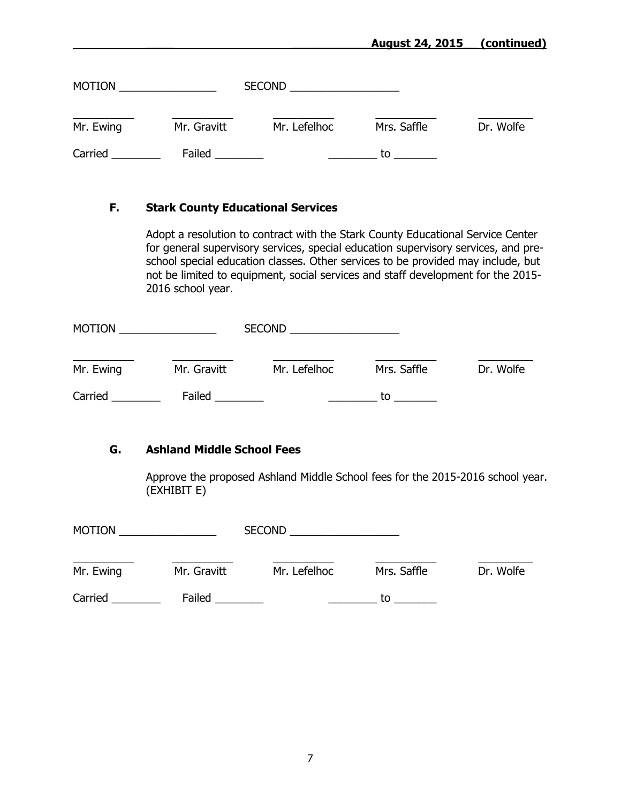### **\_\_\_\_ \_\_\_\_\_\_\_\_\_\_\_August 24, 2015\_\_ (continued)**

| <b>MOTION</b> |             | <b>SECOND</b> |             |           |
|---------------|-------------|---------------|-------------|-----------|
| Mr. Ewing     | Mr. Gravitt | Mr. Lefelhoc  | Mrs. Saffle | Dr. Wolfe |
| Carried       | Failed      |               | to          |           |

#### **F. Stark County Educational Services**

Adopt a resolution to contract with the Stark County Educational Service Center for general supervisory services, special education supervisory services, and preschool special education classes. Other services to be provided may include, but not be limited to equipment, social services and staff development for the 2015- 2016 school year.

| <b>MOTION</b> |             | <b>SECOND</b> |             |           |
|---------------|-------------|---------------|-------------|-----------|
| Mr. Ewing     | Mr. Gravitt | Mr. Lefelhoc  | Mrs. Saffle | Dr. Wolfe |
| Carried       | Failed      |               | to          |           |

#### **G. Ashland Middle School Fees**

Approve the proposed Ashland Middle School fees for the 2015-2016 school year. (EXHIBIT E)

| <b>MOTION</b> |             | <b>SECOND</b> |             |           |
|---------------|-------------|---------------|-------------|-----------|
| Mr. Ewing     | Mr. Gravitt | Mr. Lefelhoc  | Mrs. Saffle | Dr. Wolfe |
| Carried       | Failed      |               | tο          |           |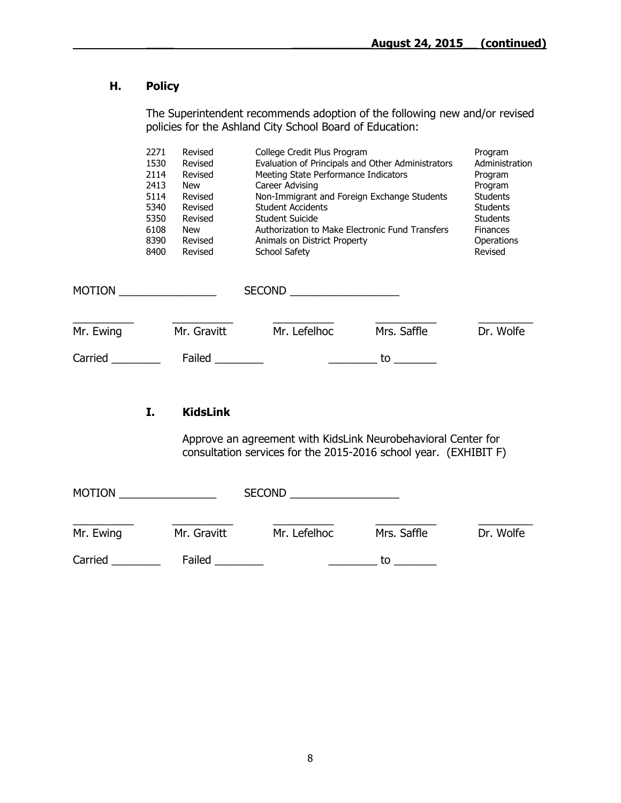# **H. Policy**

The Superintendent recommends adoption of the following new and/or revised policies for the Ashland City School Board of Education:

|           | 2271<br>1530<br>2114<br>2413<br>5114<br>5340<br>5350<br>6108<br>8390<br>8400 | Revised<br>Revised<br>Revised<br><b>New</b><br>Revised<br>Revised<br>Revised<br><b>New</b><br>Revised<br>Revised | College Credit Plus Program<br>Evaluation of Principals and Other Administrators<br>Meeting State Performance Indicators<br>Career Advising<br>Non-Immigrant and Foreign Exchange Students<br><b>Student Accidents</b><br>Student Suicide<br>Authorization to Make Electronic Fund Transfers<br>Animals on District Property<br>School Safety |             | Program<br>Administration<br>Program<br>Program<br><b>Students</b><br><b>Students</b><br><b>Students</b><br><b>Finances</b><br>Operations<br>Revised |
|-----------|------------------------------------------------------------------------------|------------------------------------------------------------------------------------------------------------------|-----------------------------------------------------------------------------------------------------------------------------------------------------------------------------------------------------------------------------------------------------------------------------------------------------------------------------------------------|-------------|------------------------------------------------------------------------------------------------------------------------------------------------------|
|           |                                                                              |                                                                                                                  | <b>SECOND</b>                                                                                                                                                                                                                                                                                                                                 |             |                                                                                                                                                      |
| Mr. Ewing |                                                                              | Mr. Gravitt                                                                                                      | Mr. Lefelhoc                                                                                                                                                                                                                                                                                                                                  | Mrs. Saffle | Dr. Wolfe                                                                                                                                            |
| Carried   |                                                                              | Failed                                                                                                           |                                                                                                                                                                                                                                                                                                                                               | to          |                                                                                                                                                      |

# **I. KidsLink**

Approve an agreement with KidsLink Neurobehavioral Center for consultation services for the 2015-2016 school year. (EXHIBIT F)

| <b>MOTION</b> |             | <b>SECOND</b> |             |           |  |
|---------------|-------------|---------------|-------------|-----------|--|
| Mr. Ewing     | Mr. Gravitt | Mr. Lefelhoc  | Mrs. Saffle | Dr. Wolfe |  |
| Carried       | Failed      |               | to          |           |  |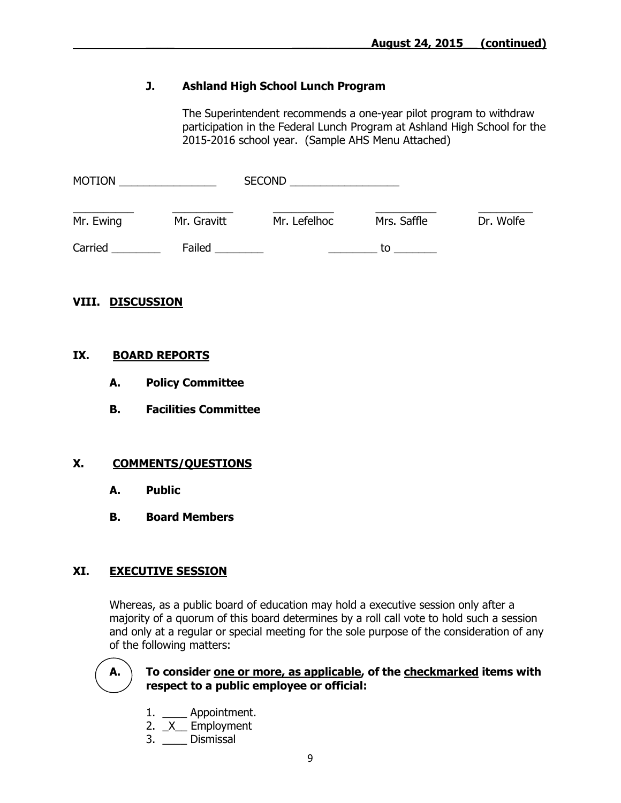# **J. Ashland High School Lunch Program**

The Superintendent recommends a one-year pilot program to withdraw participation in the Federal Lunch Program at Ashland High School for the 2015-2016 school year. (Sample AHS Menu Attached)

| <b>MOTION</b> |             | <b>SECOND</b> |             |           |  |
|---------------|-------------|---------------|-------------|-----------|--|
| Mr. Ewing     | Mr. Gravitt | Mr. Lefelhoc  | Mrs. Saffle | Dr. Wolfe |  |
| Carried       | Failed      |               | t٥          |           |  |

#### **VIII. DISCUSSION**

#### **IX. BOARD REPORTS**

- **A. Policy Committee**
- **B. Facilities Committee**

#### **X. COMMENTS/QUESTIONS**

- **A. Public**
- **B. Board Members**

#### **XI. EXECUTIVE SESSION**

Whereas, as a public board of education may hold a executive session only after a majority of a quorum of this board determines by a roll call vote to hold such a session and only at a regular or special meeting for the sole purpose of the consideration of any of the following matters:



#### **A. To consider one or more, as applicable, of the checkmarked items with respect to a public employee or official:**

- 1. \_\_\_\_ Appointment.
- 2. *X* Employment
- 3. \_\_\_\_\_ Dismissal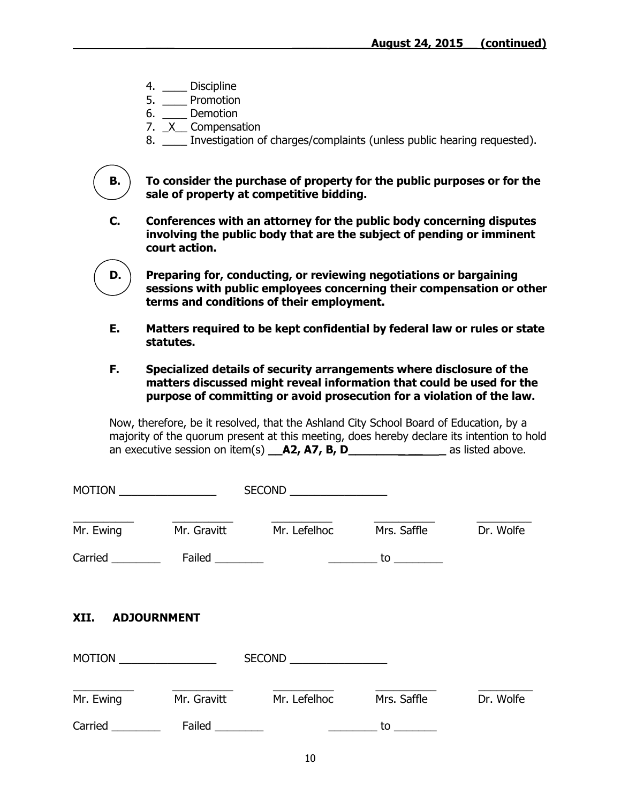- 4. \_\_\_\_ Discipline
- 5. \_\_\_\_ Promotion
- 6. \_\_\_\_ Demotion
- 7. **X** Compensation
- 8. Investigation of charges/complaints (unless public hearing requested).

**B. To consider the purchase of property for the public purposes or for the sale of property at competitive bidding.**

- **C. Conferences with an attorney for the public body concerning disputes involving the public body that are the subject of pending or imminent court action.**
- **D. Preparing for, conducting, or reviewing negotiations or bargaining sessions with public employees concerning their compensation or other terms and conditions of their employment.**
- **E. Matters required to be kept confidential by federal law or rules or state statutes.**
- **F. Specialized details of security arrangements where disclosure of the matters discussed might reveal information that could be used for the purpose of committing or avoid prosecution for a violation of the law.**

Now, therefore, be it resolved, that the Ashland City School Board of Education, by a majority of the quorum present at this meeting, does hereby declare its intention to hold an executive session on item(s) **\_\_A2, A7, B, D\_\_\_\_\_\_\_\_\_\_\_\_\_** as listed above.

|                  |                       | SECOND                   |             |           |  |  |
|------------------|-----------------------|--------------------------|-------------|-----------|--|--|
| Mr. Ewing        | Mr. Gravitt           | Mr. Lefelhoc             | Mrs. Saffle | Dr. Wolfe |  |  |
|                  |                       |                          |             |           |  |  |
| XII. ADJOURNMENT |                       |                          |             |           |  |  |
|                  | MOTION                | SECOND _________________ |             |           |  |  |
|                  | Mr. Ewing Mr. Gravitt | Mr. Lefelhoc             | Mrs. Saffle | Dr. Wolfe |  |  |
| Carried          | Failed                |                          | to          |           |  |  |